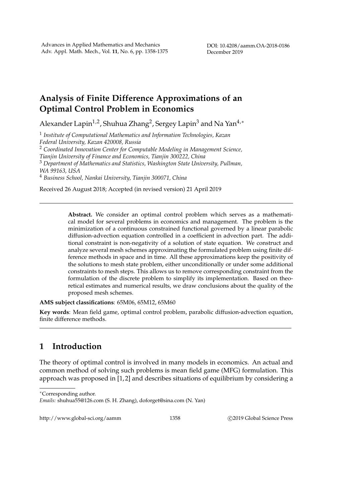## **Analysis of Finite Difference Approximations of an Optimal Control Problem in Economics**

Alexander Lapin<sup>1,2</sup>, Shuhua Zhang<sup>2</sup>, Sergey Lapin<sup>3</sup> and Na Yan<sup>4,</sup>\*

1 *Institute of Computational Mathematics and Information Technologies, Kazan Federal University, Kazan 420008, Russia*

<sup>2</sup> *Coordinated Innovation Center for Computable Modeling in Management Science,*

*Tianjin University of Finance and Economics, Tianjin 300222, China*

<sup>3</sup> *Department of Mathematics and Statistics, Washington State University, Pullman, WA 99163, USA*

<sup>4</sup> *Business School, Nankai University, Tianjin 300071, China*

Received 26 August 2018; Accepted (in revised version) 21 April 2019

**Abstract.** We consider an optimal control problem which serves as a mathematical model for several problems in economics and management. The problem is the minimization of a continuous constrained functional governed by a linear parabolic diffusion-advection equation controlled in a coefficient in advection part. The additional constraint is non-negativity of a solution of state equation. We construct and analyze several mesh schemes approximating the formulated problem using finite difference methods in space and in time. All these approximations keep the positivity of the solutions to mesh state problem, either unconditionally or under some additional constraints to mesh steps. This allows us to remove corresponding constraint from the formulation of the discrete problem to simplify its implementation. Based on theoretical estimates and numerical results, we draw conclusions about the quality of the proposed mesh schemes.

**AMS subject classifications**: 65M06, 65M12, 65M60

**Key words**: Mean field game, optimal control problem, parabolic diffusion-advection equation, finite difference methods.

## **1 Introduction**

The theory of optimal control is involved in many models in economics. An actual and common method of solving such problems is mean field game (MFG) formulation. This approach was proposed in [1,2] and describes situations of equilibrium by considering a

http://www.global-sci.org/aamm 1358 C 2019 Global Science Press

<sup>∗</sup>Corresponding author.

*Emails:* shuhua55@126.com (S. H. Zhang), doforget@sina.com (N. Yan)